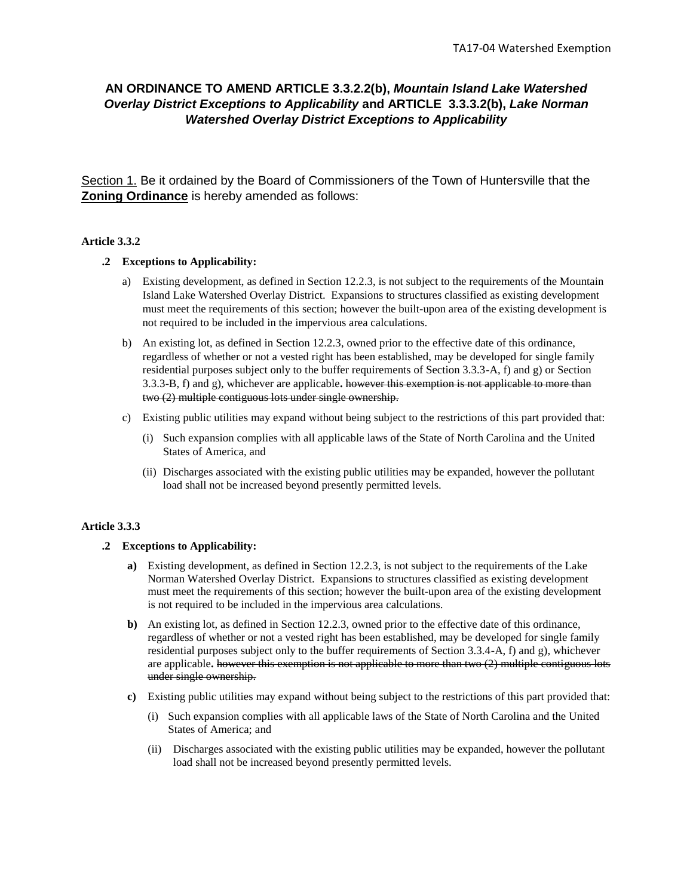# **AN ORDINANCE TO AMEND ARTICLE 3.3.2.2(b),** *Mountain Island Lake Watershed Overlay District Exceptions to Applicability* **and ARTICLE 3.3.3.2(b),** *Lake Norman Watershed Overlay District Exceptions to Applicability*

Section 1. Be it ordained by the Board of Commissioners of the Town of Huntersville that the **Zoning Ordinance** is hereby amended as follows:

## **Article 3.3.2**

### **.2 Exceptions to Applicability:**

- a) Existing development, as defined in Section 12.2.3, is not subject to the requirements of the Mountain Island Lake Watershed Overlay District. Expansions to structures classified as existing development must meet the requirements of this section; however the built-upon area of the existing development is not required to be included in the impervious area calculations.
- b) An existing lot, as defined in Section 12.2.3, owned prior to the effective date of this ordinance, regardless of whether or not a vested right has been established, may be developed for single family residential purposes subject only to the buffer requirements of Section 3.3.3-A, f) and g) or Section 3.3.3-B, f) and g), whichever are applicable**.** however this exemption is not applicable to more than two (2) multiple contiguous lots under single ownership.
- c) Existing public utilities may expand without being subject to the restrictions of this part provided that:
	- (i) Such expansion complies with all applicable laws of the State of North Carolina and the United States of America, and
	- (ii) Discharges associated with the existing public utilities may be expanded, however the pollutant load shall not be increased beyond presently permitted levels.

### **Article 3.3.3**

### **.2 Exceptions to Applicability:**

- **a)** Existing development, as defined in Section 12.2.3, is not subject to the requirements of the Lake Norman Watershed Overlay District. Expansions to structures classified as existing development must meet the requirements of this section; however the built-upon area of the existing development is not required to be included in the impervious area calculations.
- **b)** An existing lot, as defined in Section 12.2.3, owned prior to the effective date of this ordinance, regardless of whether or not a vested right has been established, may be developed for single family residential purposes subject only to the buffer requirements of Section 3.3.4-A, f) and g), whichever are applicable**.** however this exemption is not applicable to more than two (2) multiple contiguous lots under single ownership.
- **c)** Existing public utilities may expand without being subject to the restrictions of this part provided that:
	- (i) Such expansion complies with all applicable laws of the State of North Carolina and the United States of America; and
	- (ii) Discharges associated with the existing public utilities may be expanded, however the pollutant load shall not be increased beyond presently permitted levels.